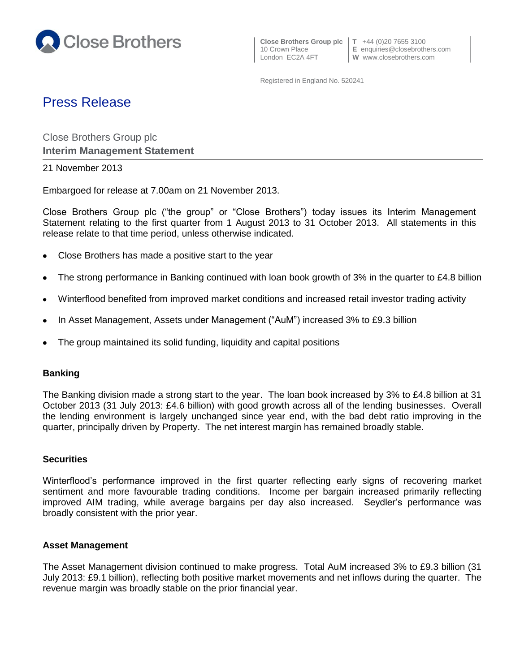

10 Crown Place **E** enquiries@closebrothers.com

Registered in England No. 520241

# Press Release

Close Brothers Group plc **Interim Management Statement**

21 November 2013

Embargoed for release at 7.00am on 21 November 2013.

Close Brothers Group plc ("the group" or "Close Brothers") today issues its Interim Management Statement relating to the first quarter from 1 August 2013 to 31 October 2013. All statements in this release relate to that time period, unless otherwise indicated.

- $\bullet$ Close Brothers has made a positive start to the year
- The strong performance in Banking continued with loan book growth of 3% in the quarter to £4.8 billion  $\bullet$
- Winterflood benefited from improved market conditions and increased retail investor trading activity
- In Asset Management, Assets under Management ("AuM") increased 3% to £9.3 billion
- The group maintained its solid funding, liquidity and capital positions

# **Banking**

The Banking division made a strong start to the year. The loan book increased by 3% to £4.8 billion at 31 October 2013 (31 July 2013: £4.6 billion) with good growth across all of the lending businesses. Overall the lending environment is largely unchanged since year end, with the bad debt ratio improving in the quarter, principally driven by Property. The net interest margin has remained broadly stable.

## **Securities**

Winterflood's performance improved in the first quarter reflecting early signs of recovering market sentiment and more favourable trading conditions. Income per bargain increased primarily reflecting improved AIM trading, while average bargains per day also increased. Seydler's performance was broadly consistent with the prior year.

## **Asset Management**

The Asset Management division continued to make progress. Total AuM increased 3% to £9.3 billion (31 July 2013: £9.1 billion), reflecting both positive market movements and net inflows during the quarter. The revenue margin was broadly stable on the prior financial year.